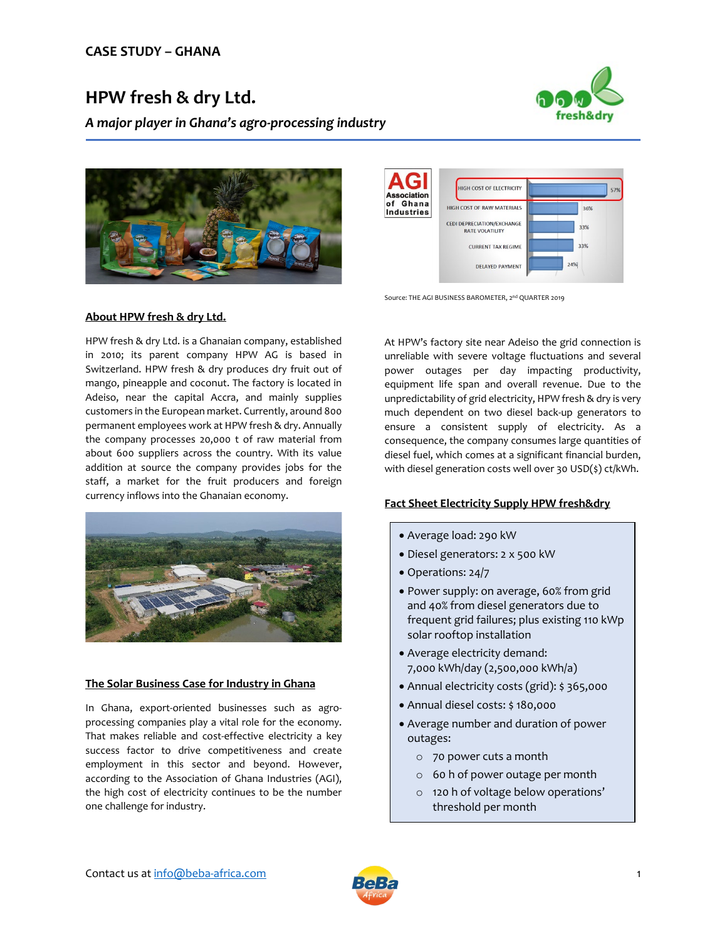# **HPW fresh & dry Ltd.**

*A major player in Ghana's agro-processing industry*







Source: THE AGI BUSINESS BAROMETER, 2nd QUARTER 2019

#### **About HPW fresh & dry Ltd.**

HPW fresh & dry Ltd. is a Ghanaian company, established in 2010; its parent company HPW AG is based in Switzerland. HPW fresh & dry produces dry fruit out of mango, pineapple and coconut. The factory is located in Adeiso, near the capital Accra, and mainly supplies customers in the European market. Currently, around 800 permanent employees work at HPW fresh & dry. Annually the company processes 20,000 t of raw material from about 600 suppliers across the country. With its value addition at source the company provides jobs for the staff, a market for the fruit producers and foreign currency inflows into the Ghanaian economy.



## **The Solar Business Case for Industry in Ghana**

In Ghana, export-oriented businesses such as agroprocessing companies play a vital role for the economy. That makes reliable and cost-effective electricity a key success factor to drive competitiveness and create employment in this sector and beyond. However, according to the Association of Ghana Industries (AGI), the high cost of electricity continues to be the number one challenge for industry.

At HPW's factory site near Adeiso the grid connection is unreliable with severe voltage fluctuations and several power outages per day impacting productivity, equipment life span and overall revenue. Due to the unpredictability of grid electricity, HPW fresh & dry is very much dependent on two diesel back-up generators to ensure a consistent supply of electricity. As a consequence, the company consumes large quantities of diesel fuel, which comes at a significant financial burden, with diesel generation costs well over 30 USD(\$) ct/kWh.

## **Fact Sheet Electricity Supply HPW fresh&dry**

- Average load: 290 kW
- Diesel generators: 2 x 500 kW
- Operations: 24/7
- Power supply: on average, 60% from grid and 40% from diesel generators due to frequent grid failures; plus existing 110 kWp solar rooftop installation
- Average electricity demand: 7,000 kWh/day (2,500,000 kWh/a)
- Annual electricity costs (grid): \$ 365,000
- Annual diesel costs: \$ 180,000
- Average number and duration of power outages:
	- o 70 power cuts a month
	- o 60 h of power outage per month
	- o 120 h of voltage below operations' threshold per month